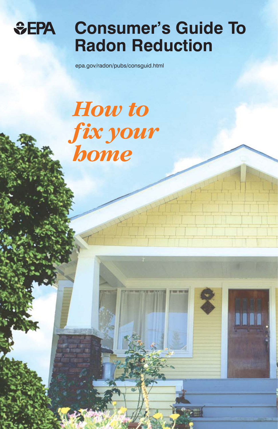

## **Consumer's Guide To Radon Reduction**

epa.gov/radon/pubs/consguid.html

# *How to fix your home*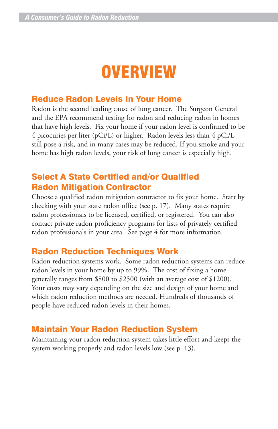## **OVERVIEW**

### Reduce Radon Levels In Your Home

Radon is the second leading cause of lung cancer. The Surgeon General and the EPA recommend testing for radon and reducing radon in homes that have high levels. Fix your home if your radon level is confirmed to be 4 picocuries per liter (pCi/L) or higher. Radon levels less than 4 pCi/L still pose a risk, and in many cases may be reduced. If you smoke and your home has high radon levels, your risk of lung cancer is especially high.

### Select A State Certified and/or Qualified Radon Mitigation Contractor

Choose a qualified radon mitigation contractor to fix your home. Start by checking with your state radon office (see p. 17). Many states require radon professionals to be licensed, certified, or registered. You can also contact private radon proficiency programs for lists of privately certified radon professionals in your area. See page 4 for more information.

### Radon Reduction Techniques Work

Radon reduction systems work. Some radon reduction systems can reduce radon levels in your home by up to 99%. The cost of fixing a home generally ranges from \$800 to \$2500 (with an average cost of \$1200). Your costs may vary depending on the size and design of your home and which radon reduction methods are needed. Hundreds of thousands of people have reduced radon levels in their homes.

### Maintain Your Radon Reduction System

Maintaining your radon reduction system takes little effort and keeps the system working properly and radon levels low (see p. 13).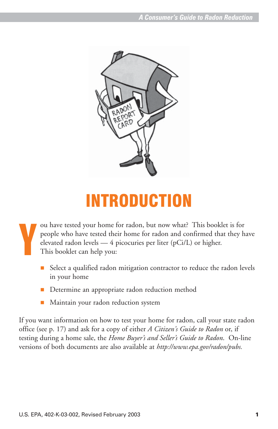

## INTRODUCTION

Y ou have tested your home for radon, but now what? This booklet is for people who have tested their home for radon and confirmed that they have elevated radon levels — 4 picocuries per liter (pCi/L) or higher. This booklet can help you:

- Select a qualified radon mitigation contractor to reduce the radon levels in your home
- **Determine an appropriate radon reduction method**
- **Maintain your radon reduction system**

If you want information on how to test your home for radon, call your state radon office (see p. 17) and ask for a copy of either *A Citizen's Guide to Radon* or, if testing during a home sale, the *Home Buyer's and Seller's Guide to Radon*. On-line versions of both documents are also available at *http://www.epa.gov/radon/pubs.*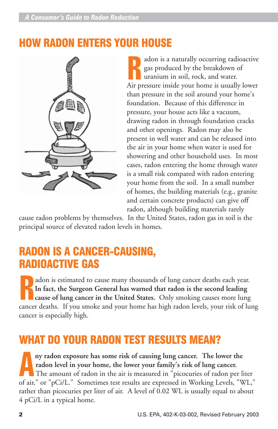### HOW RADON ENTERS YOUR HOUSE



adon is a naturally occurring radioactive gas produced by the breakdown of uranium in soil, rock, and water. adon is a naturally occurring radioactive<br>gas produced by the breakdown of<br>uranium in soil, rock, and water.<br>Air pressure inside your home is usually lower than pressure in the soil around your home's foundation. Because of this difference in pressure, your house acts like a vacuum, drawing radon in through foundation cracks and other openings. Radon may also be present in well water and can be released into the air in your home when water is used for showering and other household uses. In most cases, radon entering the home through water is a small risk compared with radon entering your home from the soil. In a small number of homes, the building materials (e.g., granite and certain concrete products) can give off radon, although building materials rarely

cause radon problems by themselves. In the United States, radon gas in soil is the principal source of elevated radon levels in homes.

### RADON IS A CANCER-CAUSING, RADIOACTIVE GAS

adon is estimated to cause many thousands of lung cancer deaths each year. **In fact, the Surgeon General has warned that radon is the second leading cause of lung cancer in the United States.** Only smoking causes more lung adon is estimated to cause many thousands of lung cancer deaths each year.<br>In fact, the Surgeon General has warned that radon is the second leading<br>cause of lung cancer in the United States. Only smoking causes more lung<br>c cancer is especially high.

### WHAT DO YOUR RADON TEST RESULTS MEAN?

**ny radon exposure has some risk of causing lung cancer. The lower the radon level in your home, the lower your family's risk of lung cancer.** The amount of radon in the air is measured in "picocuries of radon per liter ny radon exposure has some risk of causing lung cancer. The lower the radon level in your home, the lower your family's risk of lung cancer.<br>The amount of radon in the air is measured in "picocuries of radon per liter of a rather than picocuries per liter of air. A level of 0.02 WL is usually equal to about 4 pCi/L in a typical home.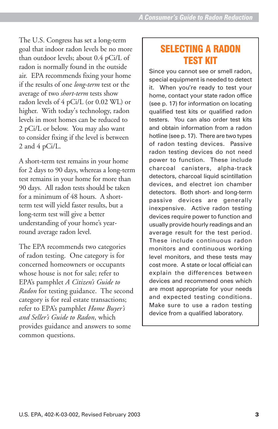The U.S. Congress has set a long-term goal that indoor radon levels be no more than outdoor levels; about 0.4 pCi/L of radon is normally found in the outside air. EPA recommends fixing your home if the results of one *long-term* test or the average of two *short-term* tests show radon levels of 4 pCi/L (or 0.02 WL) or higher. With today's technology, radon levels in most homes can be reduced to 2 pCi/L or below. You may also want to consider fixing if the level is between 2 and 4 pCi/L.

A short-term test remains in your home for 2 days to 90 days, whereas a long-term test remains in your home for more than 90 days. All radon tests should be taken for a minimum of 48 hours. A shortterm test will yield faster results, but a long-term test will give a better understanding of your home's yearround average radon level.

The EPA recommends two categories of radon testing. One category is for concerned homeowners or occupants whose house is not for sale; refer to EPA's pamphlet *A Citizen's Guide to Radon* for testing guidance. The second category is for real estate transactions; refer to EPA's pamphlet *Home Buyer's and Seller's Guide to Radon*, which provides guidance and answers to some common questions.

### SELECTING A RADON TEST KIT

Since you cannot see or smell radon, special equipment is needed to detect it. When you're ready to test your home, contact your state radon office (see p. 17) for information on locating qualified test kits or qualified radon testers. You can also order test kits and obtain information from a radon hotline (see p. 17). There are two types of radon testing devices. Passive radon testing devices do not need power to function. These include charcoal canisters, alpha-track detectors, charcoal liquid scintillation devices, and electret ion chamber detectors. Both short- and long-term passive devices are generally inexpensive. Active radon testing devices require power to function and usually provide hourly readings and an average result for the test period. These include continuous radon monitors and continuous working level monitors, and these tests may cost more. A state or local official can explain the differences between devices and recommend ones which are most appropriate for your needs and expected testing conditions. Make sure to use a radon testing device from a qualified laboratory.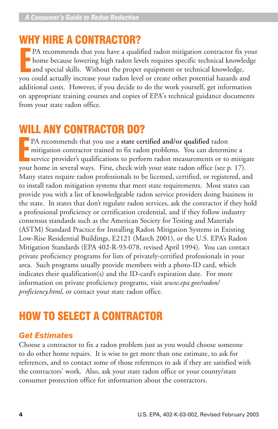### WHY HIRE A CONTRACTOR?

PA recommends that you have a qualified radon mitigation contractor fix your home because lowering high radon levels requires specific technical knowledge PA recommends that you have a qualified radon mitigation contractor fix<br>home because lowering high radon levels requires specific technical knowledge,<br>and special skills. Without the proper equipment or technical knowledge you could actually increase your radon level or create other potential hazards and additional costs. However, if you decide to do the work yourself, get information on appropriate training courses and copies of EPA's technical guidance documents from your state radon office.

### WILL ANY CONTRACTOR DO?

PA recommends that you use a **state certified and/or qualified** radon<br>
mitigation contractor trained to fix radon problems. You can determ<br>
service provider's qualifications to perform radon measurements or to<br>
reur home i mitigation contractor trained to fix radon problems. You can determine a service provider's qualifications to perform radon measurements or to mitigate your home in several ways. First, check with your state radon office (see p. 17). Many states require radon professionals to be licensed, certified, or registered, and to install radon mitigation systems that meet state requirements. Most states can provide you with a list of knowledgeable radon service providers doing business in the state. In states that don't regulate radon services, ask the contractor if they hold a professional proficiency or certification credential, and if they follow industry consensus standards such as the American Society for Testing and Materials (ASTM) Standard Practice for Installing Radon Mitigation Systems in Existing Low-Rise Residential Buildings, E2121 (March 2001), or the U.S. EPA's Radon Mitigation Standards (EPA 402-R-93-078, revised April 1994). You can contact private proficiency programs for lists of privately-certified professionals in your area. Such programs usually provide members with a photo-ID card, which indicates their qualification(s) and the ID-card's expiration date. For more information on private proficiency programs, visit *www.epa.gov/radon/ proficiency.html*, or contact your state radon office.

### HOW TO SELECT A CONTRACTOR

### *Get Estimates*

Choose a contractor to fix a radon problem just as you would choose someone to do other home repairs. It is wise to get more than one estimate, to ask for references, and to contact some of those references to ask if they are satisfied with the contractors' work. Also, ask your state radon office or your county/state consumer protection office for information about the contractors.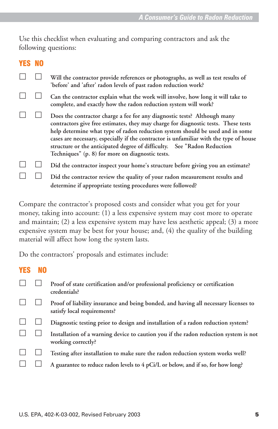Use this checklist when evaluating and comparing contractors and ask the following questions:

#### YES NO

|  | Will the contractor provide references or photographs, as well as test results of<br>'before' and 'after' radon levels of past radon reduction work?                                                                                                                                                                                                                                                                                                                     |
|--|--------------------------------------------------------------------------------------------------------------------------------------------------------------------------------------------------------------------------------------------------------------------------------------------------------------------------------------------------------------------------------------------------------------------------------------------------------------------------|
|  | Can the contractor explain what the work will involve, how long it will take to<br>complete, and exactly how the radon reduction system will work?                                                                                                                                                                                                                                                                                                                       |
|  | Does the contractor charge a fee for any diagnostic tests? Although many<br>contractors give free estimates, they may charge for diagnostic tests. These tests<br>help determine what type of radon reduction system should be used and in some<br>cases are necessary, especially if the contractor is unfamiliar with the type of house<br>structure or the anticipated degree of difficulty. See "Radon Reduction<br>Techniques" (p. 8) for more on diagnostic tests. |
|  | Did the contractor inspect your home's structure before giving you an estimate?                                                                                                                                                                                                                                                                                                                                                                                          |
|  | Did the contractor review the quality of your radon measurement results and<br>determine if appropriate testing procedures were followed?                                                                                                                                                                                                                                                                                                                                |

Compare the contractor's proposed costs and consider what you get for your money, taking into account: (1) a less expensive system may cost more to operate and maintain; (2) a less expensive system may have less aesthetic appeal; (3) a more expensive system may be best for your house; and, (4) the quality of the building material will affect how long the system lasts.

Do the contractors' proposals and estimates include:

### YES NO **Proof of state certification and/or professional proficiency or certification credentials? Proof of liability insurance and being bonded, and having all necessary licenses to satisfy local requirements? Diagnostic testing prior to design and installation of a radon reduction system? Installation of a warning device to caution you if the radon reduction system is not working correctly? Testing after installation to make sure the radon reduction system works well? A guarantee to reduce radon levels to 4 pCi/L or below, and if so, for how long?**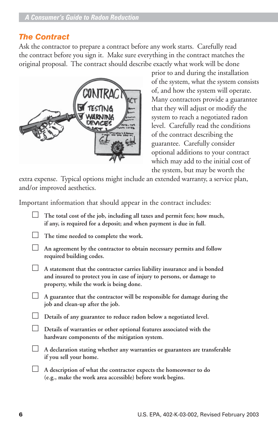### *The Contract*

Ask the contractor to prepare a contract before any work starts. Carefully read the contract before you sign it. Make sure everything in the contract matches the original proposal. The contract should describe exactly what work will be done



prior to and during the installation of the system, what the system consists of, and how the system will operate. Many contractors provide a guarantee that they will adjust or modify the system to reach a negotiated radon level. Carefully read the conditions of the contract describing the guarantee. Carefully consider optional additions to your contract which may add to the initial cost of the system, but may be worth the

extra expense. Typical options might include an extended warranty, a service plan, and/or improved aesthetics.

Important information that should appear in the contract includes:

- **The total cost of the job, including all taxes and permit fees; how much, if any, is required for a deposit; and when payment is due in full.**
- **The time needed to complete the work.**
- **An agreement by the contractor to obtain necessary permits and follow required building codes.**
- **A statement that the contractor carries liability insurance and is bonded and insured to protect you in case of injury to persons, or damage to property, while the work is being done.**
- **A guarantee that the contractor will be responsible for damage during the job and clean-up after the job.**
- **Details of any guarantee to reduce radon below a negotiated level.**
	- **Details of warranties or other optional features associated with the hardware components of the mitigation system.**
- **A declaration stating whether any warranties or guarantees are transferable if you sell your home.**
- **A description of what the contractor expects the homeowner to do (e.g., make the work area accessible) before work begins.**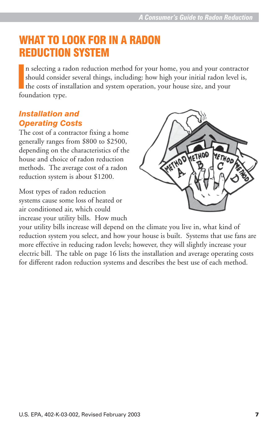### WHAT TO LOOK FOR IN A RADON REDUCTION SYSTEM

n selecting a radon reduction method for your home, you and your contractor should consider several things, including: how high your initial radon level is, the costs of installation and system operation, your house size, and your foundation type.  $\frac{1}{2}$ 

### *Installation and Operating Costs*

The cost of a contractor fixing a home generally ranges from \$800 to \$2500, depending on the characteristics of the house and choice of radon reduction methods. The average cost of a radon reduction system is about \$1200.

Most types of radon reduction systems cause some loss of heated or air conditioned air, which could increase your utility bills. How much



your utility bills increase will depend on the climate you live in, what kind of reduction system you select, and how your house is built. Systems that use fans are more effective in reducing radon levels; however, they will slightly increase your electric bill. The table on page 16 lists the installation and average operating costs for different radon reduction systems and describes the best use of each method.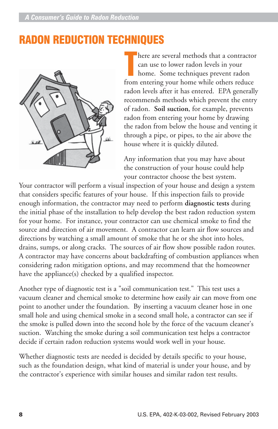### RADON REDUCTION TECHNIQUES



here are several methods that a contractor can use to lower radon levels in your home. Some techniques prevent radon here are several methods that a contracto<br>can use to lower radon levels in your<br>home. Some techniques prevent radon<br>from entering your home while others reduce radon levels after it has entered. EPA generally recommends methods which prevent the entry of radon. **Soil suction**, for example, prevents radon from entering your home by drawing the radon from below the house and venting it through a pipe, or pipes, to the air above the house where it is quickly diluted.

Any information that you may have about the construction of your house could help your contractor choose the best system.

Your contractor will perform a visual inspection of your house and design a system that considers specific features of your house. If this inspection fails to provide enough information, the contractor may need to perform **diagnostic tests** during the initial phase of the installation to help develop the best radon reduction system for your home. For instance, your contractor can use chemical smoke to find the source and direction of air movement. A contractor can learn air flow sources and directions by watching a small amount of smoke that he or she shot into holes, drains, sumps, or along cracks. The sources of air flow show possible radon routes. A contractor may have concerns about backdrafting of combustion appliances when considering radon mitigation options, and may recommend that the homeowner have the appliance(s) checked by a qualified inspector.

Another type of diagnostic test is a "soil communication test." This test uses a vacuum cleaner and chemical smoke to determine how easily air can move from one point to another under the foundation. By inserting a vacuum cleaner hose in one small hole and using chemical smoke in a second small hole, a contractor can see if the smoke is pulled down into the second hole by the force of the vacuum cleaner's suction. Watching the smoke during a soil communication test helps a contractor decide if certain radon reduction systems would work well in your house.

Whether diagnostic tests are needed is decided by details specific to your house, such as the foundation design, what kind of material is under your house, and by the contractor's experience with similar houses and similar radon test results.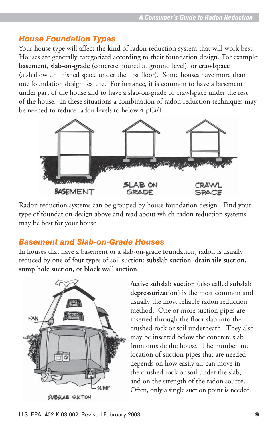### *House Foundation Types*

Your house type will affect the kind of radon reduction system that will work best. Houses are generally categorized according to their foundation design. For example: **basement**, **slab-on-grade** (concrete poured at ground level), or **crawlspace** (a shallow unfinished space under the first floor). Some houses have more than one foundation design feature. For instance, it is common to have a basement under part of the house and to have a slab-on-grade or crawlspace under the rest of the house. In these situations a combination of radon reduction techniques may be needed to reduce radon levels to below 4 pCi/L.



Radon reduction systems can be grouped by house foundation design. Find your type of foundation design above and read about which radon reduction systems may be best for your house.

### *Basement and Slab-on-Grade Houses*

In houses that have a basement or a slab-on-grade foundation, radon is usually reduced by one of four types of soil suction: **subslab suction**, **drain tile suction**, **sump hole suction**, or **block wall suction**.



**SUBSLAB SUCTION** 

**Active subslab suction** (also called **subslab depressurization**) is the most common and usually the most reliable radon reduction method. One or more suction pipes are inserted through the floor slab into the crushed rock or soil underneath. They also may be inserted below the concrete slab from outside the house. The number and location of suction pipes that are needed depends on how easily air can move in the crushed rock or soil under the slab, and on the strength of the radon source. Often, only a single suction point is needed.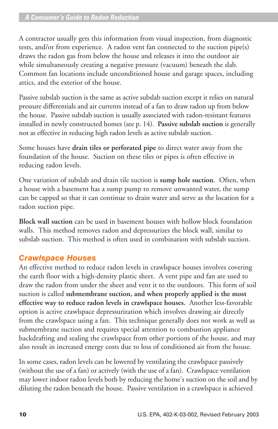A contractor usually gets this information from visual inspection, from diagnostic tests, and/or from experience. A radon vent fan connected to the suction pipe(s) draws the radon gas from below the house and releases it into the outdoor air while simultaneously creating a negative pressure (vacuum) beneath the slab. Common fan locations include unconditioned house and garage spaces, including attics, and the exterior of the house.

Passive subslab suction is the same as active subslab suction except it relies on natural pressure differentials and air currents instead of a fan to draw radon up from below the house. Passive subslab suction is usually associated with radon-resistant features installed in newly constructed homes (see p. 14). **Passive subslab suction** is generally not as effective in reducing high radon levels as active subslab suction.

Some houses have **drain tiles or perforated pipe** to direct water away from the foundation of the house. Suction on these tiles or pipes is often effective in reducing radon levels.

One variation of subslab and drain tile suction is **sump hole suction**. Often, when a house with a basement has a sump pump to remove unwanted water, the sump can be capped so that it can continue to drain water and serve as the location for a radon suction pipe.

**Block wall suction** can be used in basement houses with hollow block foundation walls. This method removes radon and depressurizes the block wall, similar to subslab suction. This method is often used in combination with subslab suction.

### *Crawlspace Houses*

An effective method to reduce radon levels in crawlspace houses involves covering the earth floor with a high-density plastic sheet. A vent pipe and fan are used to draw the radon from under the sheet and vent it to the outdoors. This form of soil suction is called **submembrane suction, and when properly applied is the most effective way to reduce radon levels in crawlspace houses.** Another less-favorable option is active crawlspace depressurization which involves drawing air directly from the crawlspace using a fan. This technique generally does not work as well as submembrane suction and requires special attention to combustion appliance backdrafting and sealing the crawlspace from other portions of the house, and may also result in increased energy costs due to loss of conditioned air from the house.

In some cases, radon levels can be lowered by ventilating the crawlspace passively (without the use of a fan) or actively (with the use of a fan). Crawlspace ventilation may lower indoor radon levels both by reducing the home's suction on the soil and by diluting the radon beneath the house. Passive ventilation in a crawlspace is achieved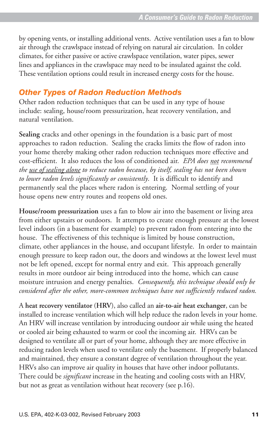by opening vents, or installing additional vents. Active ventilation uses a fan to blow air through the crawlspace instead of relying on natural air circulation. In colder climates, for either passive or active crawlspace ventilation, water pipes, sewer lines and appliances in the crawlspace may need to be insulated against the cold. These ventilation options could result in increased energy costs for the house.

### *Other Types of Radon Reduction Methods*

Other radon reduction techniques that can be used in any type of house include: sealing, house/room pressurization, heat recovery ventilation, and natural ventilation.

**Sealing** cracks and other openings in the foundation is a basic part of most approaches to radon reduction. Sealing the cracks limits the flow of radon into your home thereby making other radon reduction techniques more effective and cost-efficient. It also reduces the loss of conditioned air. *EPA does not recommend the use of sealing alone to reduce radon because, by itself, sealing has not been shown to lower radon levels significantly or consistently*. It is difficult to identify and permanently seal the places where radon is entering. Normal settling of your house opens new entry routes and reopens old ones.

**House/room pressurization** uses a fan to blow air into the basement or living area from either upstairs or outdoors. It attempts to create enough pressure at the lowest level indoors (in a basement for example) to prevent radon from entering into the house. The effectiveness of this technique is limited by house construction, climate, other appliances in the house, and occupant lifestyle. In order to maintain enough pressure to keep radon out, the doors and windows at the lowest level must not be left opened, except for normal entry and exit. This approach generally results in more outdoor air being introduced into the home, which can cause moisture intrusion and energy penalties. *Consequently, this technique should only be considered after the other, more-common techniques have not sufficiently reduced radon.*

A **heat recovery ventilator** (**HRV**), also called an **air-to-air heat exchanger**, can be installed to increase ventilation which will help reduce the radon levels in your home. An HRV will increase ventilation by introducing outdoor air while using the heated or cooled air being exhausted to warm or cool the incoming air. HRVs can be designed to ventilate all or part of your home, although they are more effective in reducing radon levels when used to ventilate only the basement. If properly balanced and maintained, they ensure a constant degree of ventilation throughout the year. HRVs also can improve air quality in houses that have other indoor pollutants. There could be *significant* increase in the heating and cooling costs with an HRV, but not as great as ventilation without heat recovery (see p.16).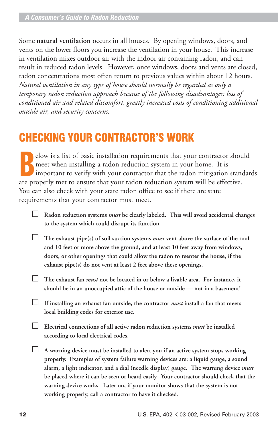Some **natural ventilation** occurs in all houses. By opening windows, doors, and vents on the lower floors you increase the ventilation in your house. This increase in ventilation mixes outdoor air with the indoor air containing radon, and can result in reduced radon levels. However, once windows, doors and vents are closed, radon concentrations most often return to previous values within about 12 hours. *Natural ventilation in any type of house should normally be regarded as only a temporary radon reduction approach because of the following disadvantages: loss of conditioned air and related discomfort, greatly increased costs of conditioning additional outside air, and security concerns.*

### CHECKING YOUR CONTRACTOR'S WORK

Election is a list of basic installation requirements that your contractor should meet when installing a radon reduction system in your home. It is important to verify with your contractor that the radon mitigation stan ar elow is a list of basic installation requirements that your contractor should meet when installing a radon reduction system in your home. It is important to verify with your contractor that the radon mitigation standards You can also check with your state radon office to see if there are state requirements that your contractor must meet.

- **Radon reduction systems** *must* **be clearly labeled. This will avoid accidental changes to the system which could disrupt its function.**
- **The exhaust pipe(s) of soil suction systems** *must* **vent above the surface of the roof and 10 feet or more above the ground, and at least 10 feet away from windows, doors, or other openings that could allow the radon to reenter the house, if the exhaust pipe(s) do not vent at least 2 feet above these openings.**
- **The exhaust fan** *must* **not be located in or below a livable area. For instance, it should be in an unoccupied attic of the house or outside — not in a basement!**
- **If installing an exhaust fan outside, the contractor** *must* **install a fan that meets local building codes for exterior use.**
- **Electrical connections of all active radon reduction systems** *must* **be installed according to local electrical codes.**
- **A warning device must be installed to alert you if an active system stops working properly. Examples of system failure warning devices are: a liquid gauge, a sound alarm, a light indicator, and a dial (needle display) gauge. The warning device** *must* **be placed where it can be seen or heard easily. Your contractor should check that the warning device works. Later on, if your monitor shows that the system is not working properly, call a contractor to have it checked.**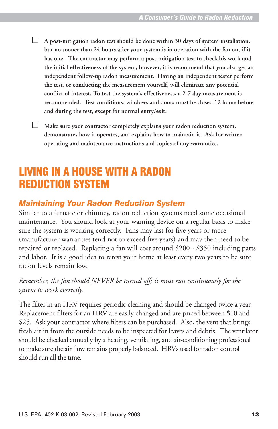**A post-mitigation radon test should be done within 30 days of system installation, but no sooner than 24 hours after your system is in operation with the fan on, if it has one. The contractor may perform a post-mitigation test to check his work and the initial effectiveness of the system; however, it is recommend that you also get an independent follow-up radon measurement. Having an independent tester perform the test, or conducting the measurement yourself, will eliminate any potential conflict of interest. To test the system's effectiveness, a 2-7 day measurement is recommended. Test conditions: windows and doors must be closed 12 hours before and during the test, except for normal entry/exit.**

 **Make sure your contractor completely explains your radon reduction system, demonstrates how it operates, and explains how to maintain it. Ask for written operating and maintenance instructions and copies of any warranties.**

### LIVING IN A HOUSE WITH A RADON REDUCTION SYSTEM

### *Maintaining Your Radon Reduction System*

Similar to a furnace or chimney, radon reduction systems need some occasional maintenance. You should look at your warning device on a regular basis to make sure the system is working correctly. Fans may last for five years or more (manufacturer warranties tend not to exceed five years) and may then need to be repaired or replaced. Replacing a fan will cost around \$200 - \$350 including parts and labor. It is a good idea to retest your home at least every two years to be sure radon levels remain low.

#### *Remember, the fan should NEVER be turned off; it must run continuously for the system to work correctly.*

The filter in an HRV requires periodic cleaning and should be changed twice a year. Replacement filters for an HRV are easily changed and are priced between \$10 and \$25. Ask your contractor where filters can be purchased. Also, the vent that brings fresh air in from the outside needs to be inspected for leaves and debris. The ventilator should be checked annually by a heating, ventilating, and air-conditioning professional to make sure the air flow remains properly balanced. HRVs used for radon control should run all the time.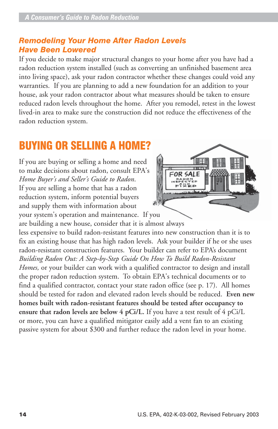### *Remodeling Your Home After Radon Levels Have Been Lowered*

If you decide to make major structural changes to your home after you have had a radon reduction system installed (such as converting an unfinished basement area into living space), ask your radon contractor whether these changes could void any warranties. If you are planning to add a new foundation for an addition to your house, ask your radon contractor about what measures should be taken to ensure reduced radon levels throughout the home. After you remodel, retest in the lowest lived-in area to make sure the construction did not reduce the effectiveness of the radon reduction system.

### BUYING OR SELLING A HOME?

If you are buying or selling a home and need to make decisions about radon, consult EPA's *Home Buyer's and Seller's Guide to Radon*. If you are selling a home that has a radon reduction system, inform potential buyers and supply them with information about your system's operation and maintenance. If you



are building a new house, consider that it is almost always less expensive to build radon-resistant features into new construction than it is to fix an existing house that has high radon levels. Ask your builder if he or she uses radon-resistant construction features. Your builder can refer to EPA's document *Building Radon Out: A Step-by-Step Guide On How To Build Radon-Resistant Homes,* or your builder can work with a qualified contractor to design and install the proper radon reduction system. To obtain EPA's technical documents or to find a qualified contractor, contact your state radon office (see p. 17). All homes should be tested for radon and elevated radon levels should be reduced. **Even new homes built with radon-resistant features should be tested after occupancy to ensure that radon levels are below 4 pCi/L.** If you have a test result of 4 pCi/L or more, you can have a qualified mitigator easily add a vent fan to an existing passive system for about \$300 and further reduce the radon level in your home.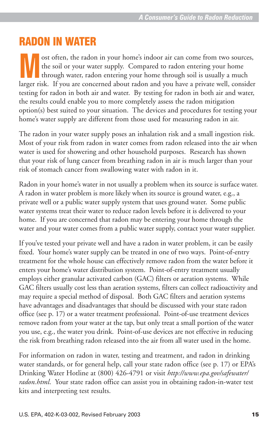### RADON IN WATER

ost often, the radon in your home's indoor air can come from two sources, the soil or your water supply. Compared to radon entering your home through water, radon entering your home through soil is usually a much larger risk. If you are concerned about radon and you have a private well, consider through water, radon entering your home through soil is usually a much larger risk. If you are concerned about radon and you have a privat testing for radon in both air and water. By testing for radon in both air and water, the results could enable you to more completely assess the radon mitigation option(s) best suited to your situation. The devices and procedures for testing your home's water supply are different from those used for measuring radon in air.

The radon in your water supply poses an inhalation risk and a small ingestion risk. Most of your risk from radon in water comes from radon released into the air when water is used for showering and other household purposes. Research has shown that your risk of lung cancer from breathing radon in air is much larger than your risk of stomach cancer from swallowing water with radon in it.

Radon in your home's water in not usually a problem when its source is surface water. A radon in water problem is more likely when its source is ground water, e.g., a private well or a public water supply system that uses ground water. Some public water systems treat their water to reduce radon levels before it is delivered to your home. If you are concerned that radon may be entering your home through the water and your water comes from a public water supply, contact your water supplier.

If you've tested your private well and have a radon in water problem, it can be easily fixed. Your home's water supply can be treated in one of two ways. Point-of-entry treatment for the whole house can effectively remove radon from the water before it enters your home's water distribution system. Point-of-entry treatment usually employs either granular activated carbon (GAC) filters or aeration systems. While GAC filters usually cost less than aeration systems, filters can collect radioactivity and may require a special method of disposal. Both GAC filters and aeration systems have advantages and disadvantages that should be discussed with your state radon office (see p. 17) or a water treatment professional. Point-of-use treatment devices remove radon from your water at the tap, but only treat a small portion of the water you use, e.g., the water you drink. Point-of-use devices are not effective in reducing the risk from breathing radon released into the air from all water used in the home.

For information on radon in water, testing and treatment, and radon in drinking water standards, or for general help, call your state radon office (see p. 17) or EPA's Drinking Water Hotline at (800) 426-4791 or visit *http://www.epa.gov/safewater/ radon.html*. Your state radon office can assist you in obtaining radon-in-water test kits and interpreting test results.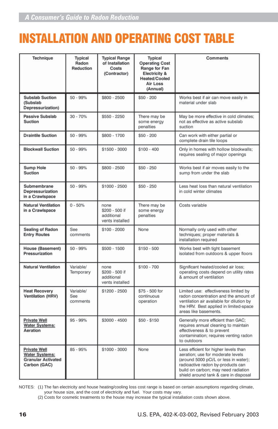## INSTALLATION AND OPERATING COST TABLE

| Technique                                                                                 | <b>Typical</b><br>Radon<br>Reduction | <b>Typical Range</b><br>of Installation<br>Costs<br>(Contractor) | <b>Typical</b><br><b>Operating Cost</b><br>Range for Fan<br><b>Electricity &amp;</b><br>Heated/Cooled<br><b>Air Loss</b><br>(Annual) | <b>Comments</b>                                                                                                                                                                                                                          |
|-------------------------------------------------------------------------------------------|--------------------------------------|------------------------------------------------------------------|--------------------------------------------------------------------------------------------------------------------------------------|------------------------------------------------------------------------------------------------------------------------------------------------------------------------------------------------------------------------------------------|
| <b>Subslab Suction</b><br>(Subslab<br>Depressurization)                                   | $50 - 99%$                           | \$800 - 2500                                                     | $$50 - 200$                                                                                                                          | Works best if air can move easily in<br>material under slab                                                                                                                                                                              |
| <b>Passive Subslab</b><br><b>Suction</b>                                                  | $30 - 70%$                           | $$550 - 2250$                                                    | There may be<br>some energy<br>penalties                                                                                             | May be more effective in cold climates;<br>not as effective as active subslab<br>suction                                                                                                                                                 |
| <b>Draintile Suction</b>                                                                  | $50 - 99%$                           | \$800 - 1700                                                     | $$50 - 200$                                                                                                                          | Can work with either partial or<br>complete drain tile loops                                                                                                                                                                             |
| <b>Blockwall Suction</b>                                                                  | $50 - 99%$                           | \$1500 - 3000                                                    | $$100 - 400$                                                                                                                         | Only in homes with hollow blockwalls;<br>requires sealing of major openings                                                                                                                                                              |
| <b>Sump Hole</b><br><b>Suction</b>                                                        | $50 - 99%$                           | \$800 - 2500                                                     | $$50 - 250$                                                                                                                          | Works best if air moves easily to the<br>sump from under the slab                                                                                                                                                                        |
| Submembrane<br>Depressurization<br>in a Crawlspace                                        | $50 - 99%$                           | \$1000 - 2500                                                    | $$50 - 250$                                                                                                                          | Less heat loss than natural ventilation<br>in cold winter climates                                                                                                                                                                       |
| <b>Natural Ventilation</b><br>in a Crawlspace                                             | $0 - 50%$                            | none<br>\$200 - 500 if<br>additional<br>vents installed          | There may be<br>some energy<br>penalties                                                                                             | Costs variable                                                                                                                                                                                                                           |
| Sealing of Radon<br><b>Entry Routes</b>                                                   | See<br>comments                      | \$100 - 2000                                                     | None                                                                                                                                 | Normally only used with other<br>techniques; proper materials &<br>installation required                                                                                                                                                 |
| <b>House (Basement)</b><br>Pressurization                                                 | $50 - 99%$                           | \$500 - 1500                                                     | $$150 - 500$                                                                                                                         | Works best with tight basement<br>isolated from outdoors & upper floors                                                                                                                                                                  |
| <b>Natural Ventilation</b>                                                                | Variable/<br>Temporary               | none<br>\$200 - 500 if<br>additional<br>vents installed          | $$100 - 700$                                                                                                                         | Significant heated/cooled air loss;<br>operating costs depend on utility rates<br>& amount of ventilation                                                                                                                                |
| <b>Heat Recovery</b><br><b>Ventilation (HRV)</b>                                          | Variable/<br>See<br>comments         | \$1200 - 2500                                                    | \$75 - 500 for<br>continuous<br>operation                                                                                            | Limited use: effectiveness limited by<br>radon concentration and the amount of<br>ventilation air available for dilution by<br>the HRV. Best applied in limited-space<br>areas like basements.                                           |
| <b>Private Well</b><br><b>Water Systems:</b><br>Aeration                                  | 95 - 99%                             | \$3000 - 4500                                                    | $$50 - $150$                                                                                                                         | Generally more efficient than GAC;<br>requires annual cleaning to maintain<br>effectiveness & to prevent<br>contamination; requires venting radon<br>to outdoors                                                                         |
| <b>Private Well</b><br><b>Water Systems:</b><br><b>Granular Activated</b><br>Carbon (GAC) | 85 - 95%                             | \$1000 - 3000                                                    | None                                                                                                                                 | Less efficient for higher levels than<br>aeration; use for moderate levels<br>(around 5000 pCi/L or less in water);<br>radioactive radon by-products can<br>build on carbon; may need radiation<br>shield around tank & care in disposal |

NOTES: (1) The fan electricity and house heating/cooling loss cost range is based on certain assumptions regarding climate,

your house size, and the cost of electricity and fuel. Your costs may vary. (2) Costs for cosmetic treatments to the house may increase the typical installation costs shown above.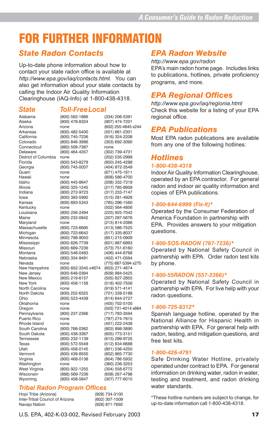### FOR FURTHER INFORMATION

### *State Radon Contacts*

Up-to-date phone information about how to contact your state radon office is available at *http://www.epa.gov/iaq/contacts.html*. You can also get information about your state contacts by calling the Indoor Air Quality Information Clearinghouse (IAQ-Info) at 1-800-438-4318.

#### *State Toll-FreeLocal*

| Alabama                 | (800) 582-1866                   | (334) 206-5391                   |
|-------------------------|----------------------------------|----------------------------------|
| Alaska                  | (800) 478-8324                   | (907) 474-7201                   |
| Arizona                 | none                             | (602) 255-4845 x244              |
| Arkansas                | (800) 482-5400                   | (501) 661-2301                   |
| California              | (800) 745-7236                   | (916) 324-2208                   |
| Colorado                | (800) 846-3986                   | (303) 692-3090                   |
| Connecticut             | (860) 509-7367                   | none                             |
| Delaware                | (800) 464-4357                   | (302) 739-4731                   |
| District of Columbia    | none                             | (202) 535-2999                   |
| Florida                 | (800) 543-8279                   | (850) 245-4288                   |
| Georgia                 | (800) 745-0037                   | (404) 872-3549                   |
| Guam                    | none                             | (671) 475-1611                   |
| Hawaii                  | none                             | (808) 586-4700                   |
| Idaho                   | (800) 445-8647                   | (208) 332-7319                   |
| Illinois                | (800) 325-1245                   | (217) 785-9958                   |
| Indiana                 | (800) 272-9723                   | (317) 233-7147                   |
| lowa                    | (800) 383-5992                   | (515) 281-4928                   |
| Kansas                  | (800) 693-5343                   | (785) 296-1560                   |
| Kentucky                | none                             | (502) 564-4856                   |
| Louisiana               | (800) 256-2494                   | (225) 925-7042                   |
| Maine                   | (800) 232-0842                   | (207) 287-5676                   |
| Maryland                | none                             | (215) 814-2086                   |
| Massachusetts           |                                  |                                  |
|                         | (800) 723-6695<br>(800) 723-6642 | (413) 586-7525<br>(517) 335-8037 |
| Michigan                |                                  |                                  |
| Minnesota               | (800) 798-9050                   | (651) 215-0909                   |
| Mississippi<br>Missouri | (800) 626-7739                   | (601) 987-6893                   |
|                         | (800) 669-7236                   | (573) 751-6160                   |
| Montana                 | (800) 546-0483                   | (406) 444-6768                   |
| Nebraska                | (800) 334-9491                   | (402) 471-0594                   |
| Nevada                  | none                             | (775) 687-5394 x275              |
| New Hampshire           | (800) 852-3345 x4674             | (603) 271-4674                   |
| New Jersey              | (800) 648-0394                   | (609) 984-5425                   |
| New Mexico              | (800) 219-6157                   | (505) 827-2855                   |
| New York                | (800) 458-1158                   | (518) 402-7556                   |
| North Carolina          | none                             | (919) 571-4141                   |
| North Dakota            | (800) 252-6325                   | (701) 328-5188                   |
| Ohio                    | (800) 523-4439                   | (614) 644-2727                   |
| Oklahoma                | none                             | (405) 702-5100                   |
| Oregon                  | none                             | (503) 731-4014 x664              |
| Pennsylvania            | (800) 237-2366                   | (717) 783-3594                   |
| Puerto Rico             | none                             | (787) 274-7815                   |
| Rhode Island            | none                             | (401) 222-2438                   |
| South Carolina          | (800) 768-0362                   | (803) 898-3890                   |
| South Dakota            | (800) 438-3367                   | (605) 773-3151                   |
| Tennessee               | (800) 232-1139                   | (615) 299-9725                   |
| Texas                   | (800) 572-5548                   | (512) 834-6688                   |
| Utah                    | (800) 458-0145                   | (801) 536-4250                   |
| Vermont                 | (800) 439-8550                   | (802) 865-7730                   |
| Virginia                | (800) 468-0138                   | (804) 786-5932                   |
| Washington              | none                             | (360) 236-3253                   |
| West Virginia           | (800) 922-1255                   | (304) 558-6772                   |
| Wisconsin               | (888) 569-7236                   | (608) 267-4796                   |
| Wyoming                 | (800) 458-5847                   | (307) 777-6015                   |
|                         |                                  |                                  |

#### *Tribal Radon Program Offices*

Hopi Tribe (Arizona) (928) 734-3100<br>
Inter-Tribal Council of Arizona (602) 307-1509 Inter-Tribal Council of Arizona Navajo Nation (928) 871-7692

### *EPA Radon Website*

*http://www.epa.gov/radon* EPA's main radon home page. Includes links to publications, hotlines, private proficiency programs, and more.

### *EPA Regional Offices*

*http://www.epa.gov/iaq/regionia.html* Check this website for a listing of your EPA regional office.

#### *EPA Publications*

Most EPA radon publications are available from any one of the following hotlines:

#### *Hotlines*

#### *1-800-438-4318*

Indoor Air Quality Information Clearinghouse, operated by an EPA contractor. For general radon and indoor air quality information and copies of EPA publications.

#### *1-800-644-6999 (Fix-it)\**

Operated by the Consumer Federation of America Foundation in partnership with EPA. Provides answers to your mitigation questions.

#### *1-800-SOS-RADON (767-7236)\**

Operated by National Safety Council in partnership with EPA. Order radon test kits by phone.

#### *1-800-55RADON (557-2366)\**

Operated by National Safety Council in partnership with EPA. For live help with your radon questions.

#### *1-800-725-8312\**

Spanish language hotline, operated by the National Alliance for Hispanic Health in partnership with EPA. For general help with radon, testing, and mitigation questions, and free test kits.

#### *1-800-426-4791*

Safe Drinking Water Hotline, privately operated under contract to EPA. For general information on drinking water, radon in water, testing and treatment, and radon drinking water standards.

\*These hotline numbers are subject to change, for up-to-date information call 1-800-438-4318.